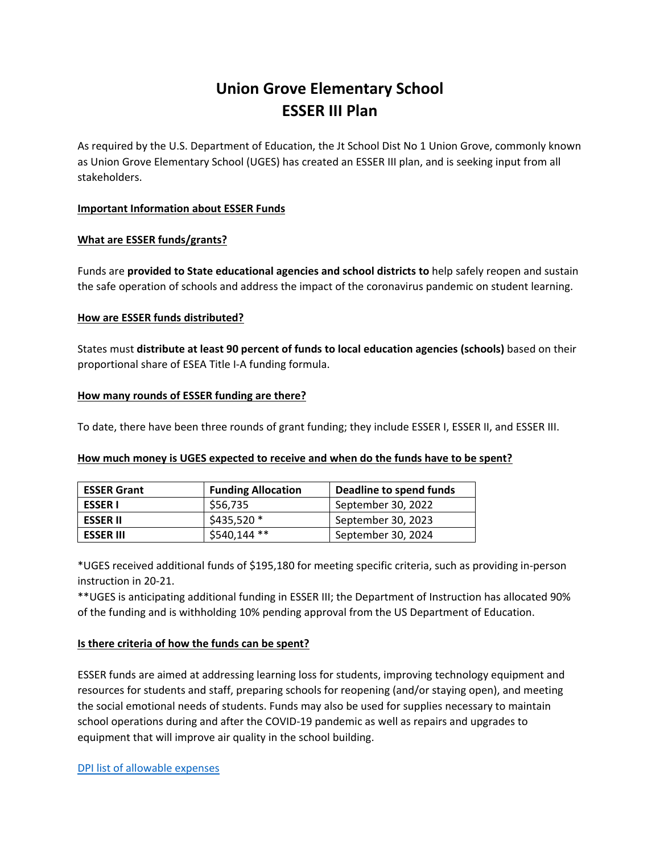# **Union Grove Elementary School ESSER III Plan**

As required by the U.S. Department of Education, the Jt School Dist No 1 Union Grove, commonly known as Union Grove Elementary School (UGES) has created an ESSER III plan, and is seeking input from all stakeholders.

## **Important Information about ESSER Funds**

## **What are ESSER funds/grants?**

Funds are **provided to State educational agencies and school districts to** help safely reopen and sustain the safe operation of schools and address the impact of the coronavirus pandemic on student learning.

## **How are ESSER funds distributed?**

States must **distribute at least 90 percent of funds to local education agencies (schools)** based on their proportional share of ESEA Title I‐A funding formula.

## **How many rounds of ESSER funding are there?**

To date, there have been three rounds of grant funding; they include ESSER I, ESSER II, and ESSER III.

## **How much money is UGES expected to receive and when do the funds have to be spent?**

| <b>ESSER Grant</b> | <b>Funding Allocation</b> | Deadline to spend funds |
|--------------------|---------------------------|-------------------------|
| <b>ESSER I</b>     | \$56,735                  | September 30, 2022      |
| <b>ESSER II</b>    | $$435,520*$               | September 30, 2023      |
| <b>ESSER III</b>   | \$540,144 **              | September 30, 2024      |

\*UGES received additional funds of \$195,180 for meeting specific criteria, such as providing in‐person instruction in 20‐21.

\*\*UGES is anticipating additional funding in ESSER III; the Department of Instruction has allocated 90% of the funding and is withholding 10% pending approval from the US Department of Education.

# **Is there criteria of how the funds can be spent?**

ESSER funds are aimed at addressing learning loss for students, improving technology equipment and resources for students and staff, preparing schools for reopening (and/or staying open), and meeting the social emotional needs of students. Funds may also be used for supplies necessary to maintain school operations during and after the COVID‐19 pandemic as well as repairs and upgrades to equipment that will improve air quality in the school building.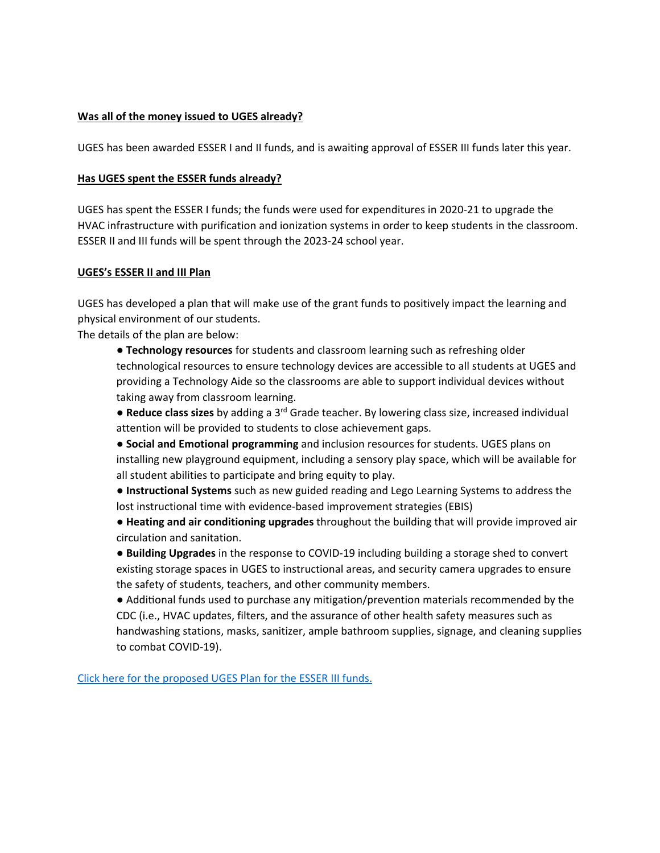## **Was all of the money issued to UGES already?**

UGES has been awarded ESSER I and II funds, and is awaiting approval of ESSER III funds later this year.

#### **Has UGES spent the ESSER funds already?**

UGES has spent the ESSER I funds; the funds were used for expenditures in 2020‐21 to upgrade the HVAC infrastructure with purification and ionization systems in order to keep students in the classroom. ESSER II and III funds will be spent through the 2023‐24 school year.

#### **UGES's ESSER II and III Plan**

UGES has developed a plan that will make use of the grant funds to positively impact the learning and physical environment of our students.

The details of the plan are below:

● **Technology resources** for students and classroom learning such as refreshing older technological resources to ensure technology devices are accessible to all students at UGES and providing a Technology Aide so the classrooms are able to support individual devices without taking away from classroom learning.

● **Reduce class sizes** by adding a 3rd Grade teacher. By lowering class size, increased individual attention will be provided to students to close achievement gaps.

● **Social and Emotional programming** and inclusion resources for students. UGES plans on installing new playground equipment, including a sensory play space, which will be available for all student abilities to participate and bring equity to play.

● **Instructional Systems** such as new guided reading and Lego Learning Systems to address the lost instructional time with evidence‐based improvement strategies (EBIS)

● **Heating and air conditioning upgrades** throughout the building that will provide improved air circulation and sanitation.

● **Building Upgrades** in the response to COVID‐19 including building a storage shed to convert existing storage spaces in UGES to instructional areas, and security camera upgrades to ensure the safety of students, teachers, and other community members.

• Additional funds used to purchase any mitigation/prevention materials recommended by the CDC (i.e., HVAC updates, filters, and the assurance of other health safety measures such as handwashing stations, masks, sanitizer, ample bathroom supplies, signage, and cleaning supplies to combat COVID‐19).

Click here for the proposed UGES Plan for the ESSER III funds.